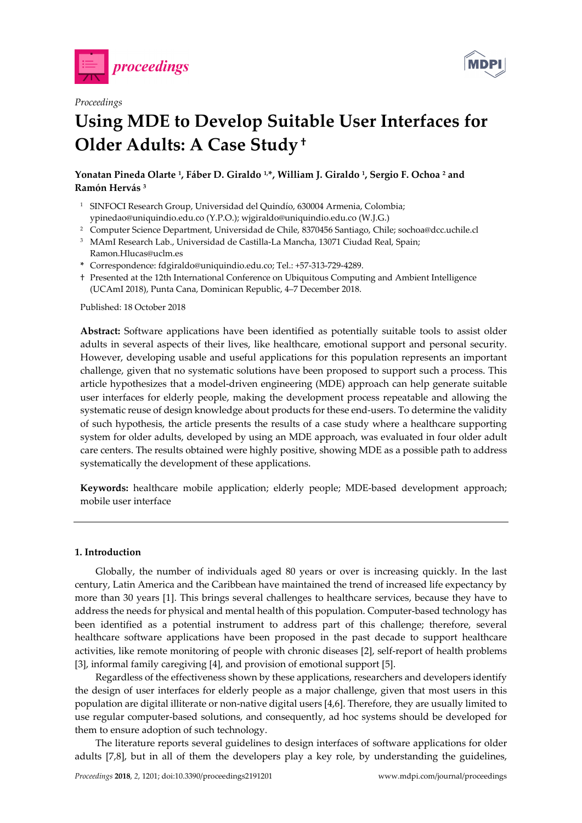

*Proceedings* 



# **Using MDE to Develop Suitable User Interfaces for Older Adults: A Case Study †**

## **Yonatan Pineda Olarte 1, Fáber D. Giraldo 1,\*, William J. Giraldo 1, Sergio F. Ochoa 2 and Ramón Hervás 3**

- <sup>1</sup> SINFOCI Research Group, Universidad del Quindío, 630004 Armenia, Colombia; ypinedao@uniquindio.edu.co (Y.P.O.); wjgiraldo@uniquindio.edu.co (W.J.G.)
- <sup>2</sup> Computer Science Department, Universidad de Chile, 8370456 Santiago, Chile; sochoa@dcc.uchile.cl
- <sup>3</sup> MAmI Research Lab., Universidad de Castilla-La Mancha, 13071 Ciudad Real, Spain; Ramon.Hlucas@uclm.es
- **\*** Correspondence: fdgiraldo@uniquindio.edu.co; Tel.: +57-313-729-4289.
- † Presented at the 12th International Conference on Ubiquitous Computing and Ambient Intelligence (UCAmI 2018), Punta Cana, Dominican Republic, 4–7 December 2018.

Published: 18 October 2018

**Abstract:** Software applications have been identified as potentially suitable tools to assist older adults in several aspects of their lives, like healthcare, emotional support and personal security. However, developing usable and useful applications for this population represents an important challenge, given that no systematic solutions have been proposed to support such a process. This article hypothesizes that a model-driven engineering (MDE) approach can help generate suitable user interfaces for elderly people, making the development process repeatable and allowing the systematic reuse of design knowledge about products for these end-users. To determine the validity of such hypothesis, the article presents the results of a case study where a healthcare supporting system for older adults, developed by using an MDE approach, was evaluated in four older adult care centers. The results obtained were highly positive, showing MDE as a possible path to address systematically the development of these applications.

**Keywords:** healthcare mobile application; elderly people; MDE-based development approach; mobile user interface

## **1. Introduction**

Globally, the number of individuals aged 80 years or over is increasing quickly. In the last century, Latin America and the Caribbean have maintained the trend of increased life expectancy by more than 30 years [1]. This brings several challenges to healthcare services, because they have to address the needs for physical and mental health of this population. Computer-based technology has been identified as a potential instrument to address part of this challenge; therefore, several healthcare software applications have been proposed in the past decade to support healthcare activities, like remote monitoring of people with chronic diseases [2], self-report of health problems [3], informal family caregiving [4], and provision of emotional support [5].

Regardless of the effectiveness shown by these applications, researchers and developers identify the design of user interfaces for elderly people as a major challenge, given that most users in this population are digital illiterate or non-native digital users [4,6]. Therefore, they are usually limited to use regular computer-based solutions, and consequently, ad hoc systems should be developed for them to ensure adoption of such technology.

The literature reports several guidelines to design interfaces of software applications for older adults [7,8], but in all of them the developers play a key role, by understanding the guidelines,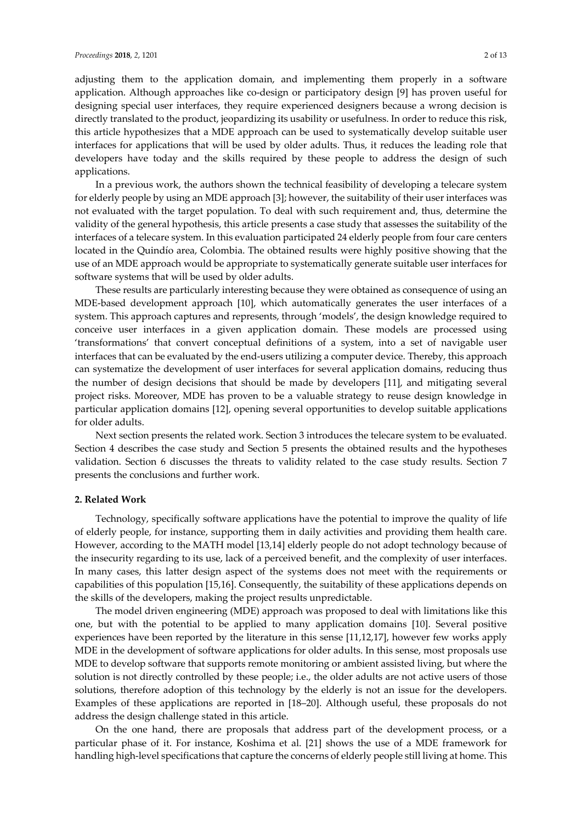adjusting them to the application domain, and implementing them properly in a software application. Although approaches like co-design or participatory design [9] has proven useful for designing special user interfaces, they require experienced designers because a wrong decision is directly translated to the product, jeopardizing its usability or usefulness. In order to reduce this risk, this article hypothesizes that a MDE approach can be used to systematically develop suitable user interfaces for applications that will be used by older adults. Thus, it reduces the leading role that developers have today and the skills required by these people to address the design of such applications.

In a previous work, the authors shown the technical feasibility of developing a telecare system for elderly people by using an MDE approach [3]; however, the suitability of their user interfaces was not evaluated with the target population. To deal with such requirement and, thus, determine the validity of the general hypothesis, this article presents a case study that assesses the suitability of the interfaces of a telecare system. In this evaluation participated 24 elderly people from four care centers located in the Quindío area, Colombia. The obtained results were highly positive showing that the use of an MDE approach would be appropriate to systematically generate suitable user interfaces for software systems that will be used by older adults.

These results are particularly interesting because they were obtained as consequence of using an MDE-based development approach [10], which automatically generates the user interfaces of a system. This approach captures and represents, through 'models', the design knowledge required to conceive user interfaces in a given application domain. These models are processed using 'transformations' that convert conceptual definitions of a system, into a set of navigable user interfaces that can be evaluated by the end-users utilizing a computer device. Thereby, this approach can systematize the development of user interfaces for several application domains, reducing thus the number of design decisions that should be made by developers [11], and mitigating several project risks. Moreover, MDE has proven to be a valuable strategy to reuse design knowledge in particular application domains [12], opening several opportunities to develop suitable applications for older adults.

Next section presents the related work. Section 3 introduces the telecare system to be evaluated. Section 4 describes the case study and Section 5 presents the obtained results and the hypotheses validation. Section 6 discusses the threats to validity related to the case study results. Section 7 presents the conclusions and further work.

#### **2. Related Work**

Technology, specifically software applications have the potential to improve the quality of life of elderly people, for instance, supporting them in daily activities and providing them health care. However, according to the MATH model [13,14] elderly people do not adopt technology because of the insecurity regarding to its use, lack of a perceived benefit, and the complexity of user interfaces. In many cases, this latter design aspect of the systems does not meet with the requirements or capabilities of this population [15,16]. Consequently, the suitability of these applications depends on the skills of the developers, making the project results unpredictable.

The model driven engineering (MDE) approach was proposed to deal with limitations like this one, but with the potential to be applied to many application domains [10]. Several positive experiences have been reported by the literature in this sense [11,12,17], however few works apply MDE in the development of software applications for older adults. In this sense, most proposals use MDE to develop software that supports remote monitoring or ambient assisted living, but where the solution is not directly controlled by these people; i.e., the older adults are not active users of those solutions, therefore adoption of this technology by the elderly is not an issue for the developers. Examples of these applications are reported in [18–20]. Although useful, these proposals do not address the design challenge stated in this article.

On the one hand, there are proposals that address part of the development process, or a particular phase of it. For instance, Koshima et al. [21] shows the use of a MDE framework for handling high-level specifications that capture the concerns of elderly people still living at home. This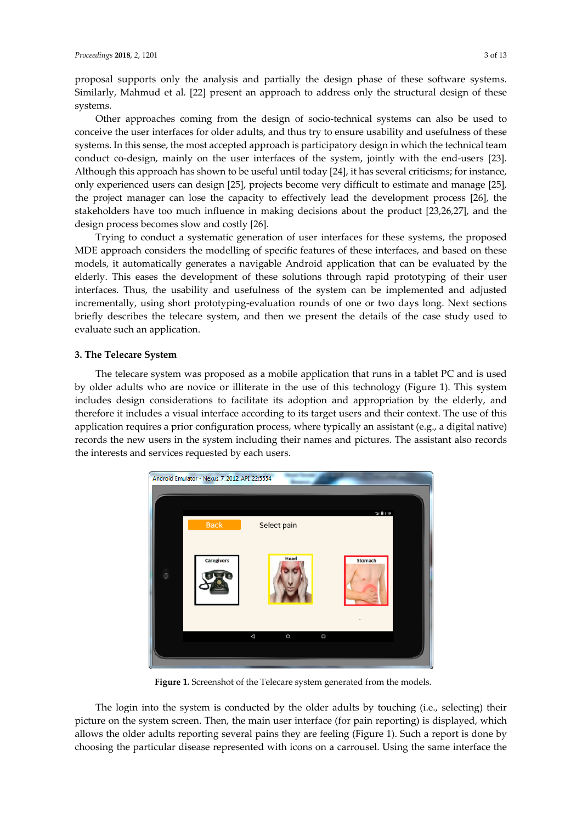proposal supports only the analysis and partially the design phase of these software systems. Similarly, Mahmud et al. [22] present an approach to address only the structural design of these systems.

Other approaches coming from the design of socio-technical systems can also be used to conceive the user interfaces for older adults, and thus try to ensure usability and usefulness of these systems. In this sense, the most accepted approach is participatory design in which the technical team conduct co-design, mainly on the user interfaces of the system, jointly with the end-users [23]. Although this approach has shown to be useful until today [24], it has several criticisms; for instance, only experienced users can design [25], projects become very difficult to estimate and manage [25], the project manager can lose the capacity to effectively lead the development process [26], the stakeholders have too much influence in making decisions about the product [23,26,27], and the design process becomes slow and costly [26].

Trying to conduct a systematic generation of user interfaces for these systems, the proposed MDE approach considers the modelling of specific features of these interfaces, and based on these models, it automatically generates a navigable Android application that can be evaluated by the elderly. This eases the development of these solutions through rapid prototyping of their user interfaces. Thus, the usability and usefulness of the system can be implemented and adjusted incrementally, using short prototyping-evaluation rounds of one or two days long. Next sections briefly describes the telecare system, and then we present the details of the case study used to evaluate such an application.

## **3. The Telecare System**

The telecare system was proposed as a mobile application that runs in a tablet PC and is used by older adults who are novice or illiterate in the use of this technology (Figure 1). This system includes design considerations to facilitate its adoption and appropriation by the elderly, and therefore it includes a visual interface according to its target users and their context. The use of this application requires a prior configuration process, where typically an assistant (e.g., a digital native) records the new users in the system including their names and pictures. The assistant also records the interests and services requested by each users.



**Figure 1.** Screenshot of the Telecare system generated from the models.

The login into the system is conducted by the older adults by touching (i.e., selecting) their picture on the system screen. Then, the main user interface (for pain reporting) is displayed, which allows the older adults reporting several pains they are feeling (Figure 1). Such a report is done by choosing the particular disease represented with icons on a carrousel. Using the same interface the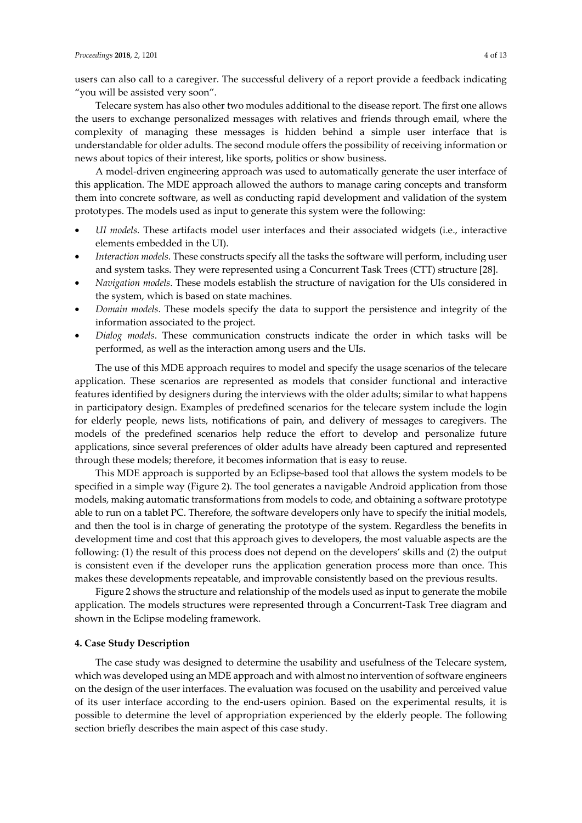users can also call to a caregiver. The successful delivery of a report provide a feedback indicating "you will be assisted very soon".

Telecare system has also other two modules additional to the disease report. The first one allows the users to exchange personalized messages with relatives and friends through email, where the complexity of managing these messages is hidden behind a simple user interface that is understandable for older adults. The second module offers the possibility of receiving information or news about topics of their interest, like sports, politics or show business.

A model-driven engineering approach was used to automatically generate the user interface of this application. The MDE approach allowed the authors to manage caring concepts and transform them into concrete software, as well as conducting rapid development and validation of the system prototypes. The models used as input to generate this system were the following:

- *UI models*. These artifacts model user interfaces and their associated widgets (i.e., interactive elements embedded in the UI).
- *Interaction models*. These constructs specify all the tasks the software will perform, including user and system tasks. They were represented using a Concurrent Task Trees (CTT) structure [28].
- *Navigation models*. These models establish the structure of navigation for the UIs considered in the system, which is based on state machines.
- *Domain models*. These models specify the data to support the persistence and integrity of the information associated to the project.
- *Dialog models*. These communication constructs indicate the order in which tasks will be performed, as well as the interaction among users and the UIs.

The use of this MDE approach requires to model and specify the usage scenarios of the telecare application. These scenarios are represented as models that consider functional and interactive features identified by designers during the interviews with the older adults; similar to what happens in participatory design. Examples of predefined scenarios for the telecare system include the login for elderly people, news lists, notifications of pain, and delivery of messages to caregivers. The models of the predefined scenarios help reduce the effort to develop and personalize future applications, since several preferences of older adults have already been captured and represented through these models; therefore, it becomes information that is easy to reuse.

This MDE approach is supported by an Eclipse-based tool that allows the system models to be specified in a simple way (Figure 2). The tool generates a navigable Android application from those models, making automatic transformations from models to code, and obtaining a software prototype able to run on a tablet PC. Therefore, the software developers only have to specify the initial models, and then the tool is in charge of generating the prototype of the system. Regardless the benefits in development time and cost that this approach gives to developers, the most valuable aspects are the following: (1) the result of this process does not depend on the developers' skills and (2) the output is consistent even if the developer runs the application generation process more than once. This makes these developments repeatable, and improvable consistently based on the previous results.

Figure 2 shows the structure and relationship of the models used as input to generate the mobile application. The models structures were represented through a Concurrent-Task Tree diagram and shown in the Eclipse modeling framework.

## **4. Case Study Description**

The case study was designed to determine the usability and usefulness of the Telecare system, which was developed using an MDE approach and with almost no intervention of software engineers on the design of the user interfaces. The evaluation was focused on the usability and perceived value of its user interface according to the end-users opinion. Based on the experimental results, it is possible to determine the level of appropriation experienced by the elderly people. The following section briefly describes the main aspect of this case study.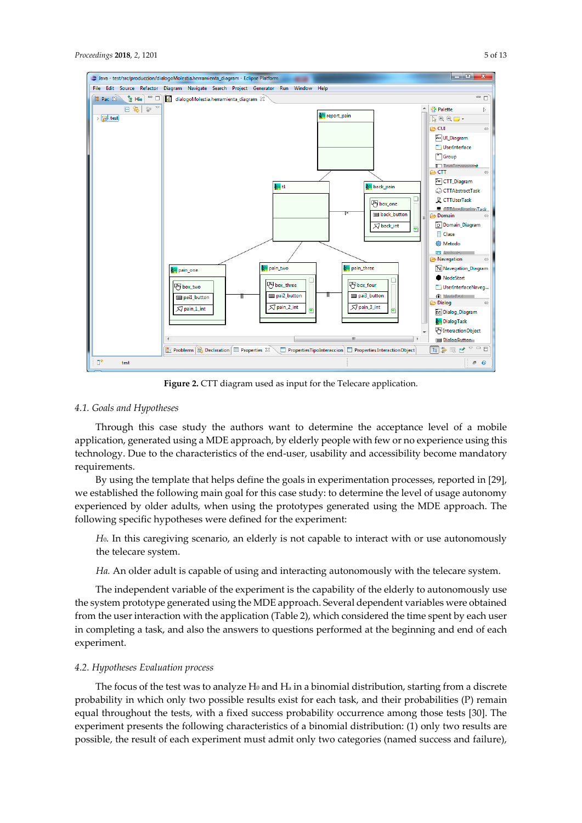

**Figure 2.** CTT diagram used as input for the Telecare application.

## *4.1. Goals and Hypotheses*

Through this case study the authors want to determine the acceptance level of a mobile application, generated using a MDE approach, by elderly people with few or no experience using this technology. Due to the characteristics of the end-user, usability and accessibility become mandatory requirements.

By using the template that helps define the goals in experimentation processes, reported in [29], we established the following main goal for this case study: to determine the level of usage autonomy experienced by older adults, when using the prototypes generated using the MDE approach. The following specific hypotheses were defined for the experiment:

*H*0*.* In this caregiving scenario, an elderly is not capable to interact with or use autonomously the telecare system.

*Ha.* An older adult is capable of using and interacting autonomously with the telecare system.

The independent variable of the experiment is the capability of the elderly to autonomously use the system prototype generated using the MDE approach. Several dependent variables were obtained from the user interaction with the application (Table 2), which considered the time spent by each user in completing a task, and also the answers to questions performed at the beginning and end of each experiment.

## *4.2. Hypotheses Evaluation process*

The focus of the test was to analyze  $H_0$  and  $H_a$  in a binomial distribution, starting from a discrete probability in which only two possible results exist for each task, and their probabilities (P) remain equal throughout the tests, with a fixed success probability occurrence among those tests [30]. The experiment presents the following characteristics of a binomial distribution: (1) only two results are possible, the result of each experiment must admit only two categories (named success and failure),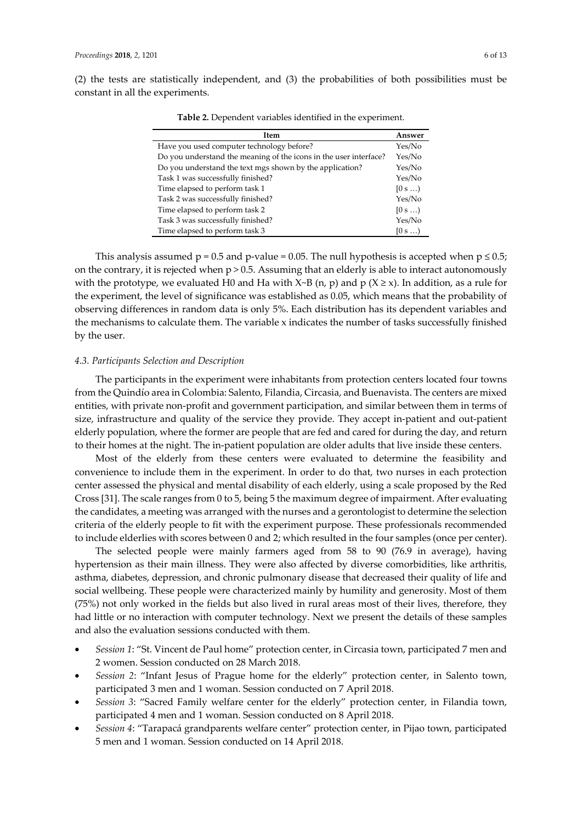| Item                                                              | Answer        |
|-------------------------------------------------------------------|---------------|
| Have you used computer technology before?                         | Yes/No        |
| Do you understand the meaning of the icons in the user interface? | Yes/No        |
| Do you understand the text mgs shown by the application?          | Yes/No        |
| Task 1 was successfully finished?                                 | Yes/No        |
| Time elapsed to perform task 1                                    | $[0 s \dots]$ |
| Task 2 was successfully finished?                                 | Yes/No        |
| Time elapsed to perform task 2                                    | $[0 s \dots]$ |
| Task 3 was successfully finished?                                 | Yes/No        |
| Time elapsed to perform task 3                                    | $[0 s \dots]$ |

**Table 2.** Dependent variables identified in the experiment.

This analysis assumed  $p = 0.5$  and p-value = 0.05. The null hypothesis is accepted when  $p \le 0.5$ ; on the contrary, it is rejected when  $p > 0.5$ . Assuming that an elderly is able to interact autonomously with the prototype, we evaluated H0 and Ha with X~B (n, p) and p ( $X \ge x$ ). In addition, as a rule for the experiment, the level of significance was established as 0.05, which means that the probability of observing differences in random data is only 5%. Each distribution has its dependent variables and the mechanisms to calculate them. The variable x indicates the number of tasks successfully finished by the user.

### *4.3. Participants Selection and Description*

The participants in the experiment were inhabitants from protection centers located four towns from the Quindío area in Colombia: Salento, Filandia, Circasia, and Buenavista. The centers are mixed entities, with private non-profit and government participation, and similar between them in terms of size, infrastructure and quality of the service they provide. They accept in-patient and out-patient elderly population, where the former are people that are fed and cared for during the day, and return to their homes at the night. The in-patient population are older adults that live inside these centers.

Most of the elderly from these centers were evaluated to determine the feasibility and convenience to include them in the experiment. In order to do that, two nurses in each protection center assessed the physical and mental disability of each elderly, using a scale proposed by the Red Cross [31]. The scale ranges from 0 to 5, being 5 the maximum degree of impairment. After evaluating the candidates, a meeting was arranged with the nurses and a gerontologist to determine the selection criteria of the elderly people to fit with the experiment purpose. These professionals recommended to include elderlies with scores between 0 and 2; which resulted in the four samples (once per center).

The selected people were mainly farmers aged from 58 to 90 (76.9 in average), having hypertension as their main illness. They were also affected by diverse comorbidities, like arthritis, asthma, diabetes, depression, and chronic pulmonary disease that decreased their quality of life and social wellbeing. These people were characterized mainly by humility and generosity. Most of them (75%) not only worked in the fields but also lived in rural areas most of their lives, therefore, they had little or no interaction with computer technology. Next we present the details of these samples and also the evaluation sessions conducted with them.

- *Session 1*: "St. Vincent de Paul home" protection center, in Circasia town, participated 7 men and 2 women. Session conducted on 28 March 2018.
- *Session 2*: "Infant Jesus of Prague home for the elderly" protection center, in Salento town, participated 3 men and 1 woman. Session conducted on 7 April 2018.
- *Session 3*: "Sacred Family welfare center for the elderly" protection center, in Filandia town, participated 4 men and 1 woman. Session conducted on 8 April 2018.
- *Session 4*: "Tarapacá grandparents welfare center" protection center, in Pijao town, participated 5 men and 1 woman. Session conducted on 14 April 2018.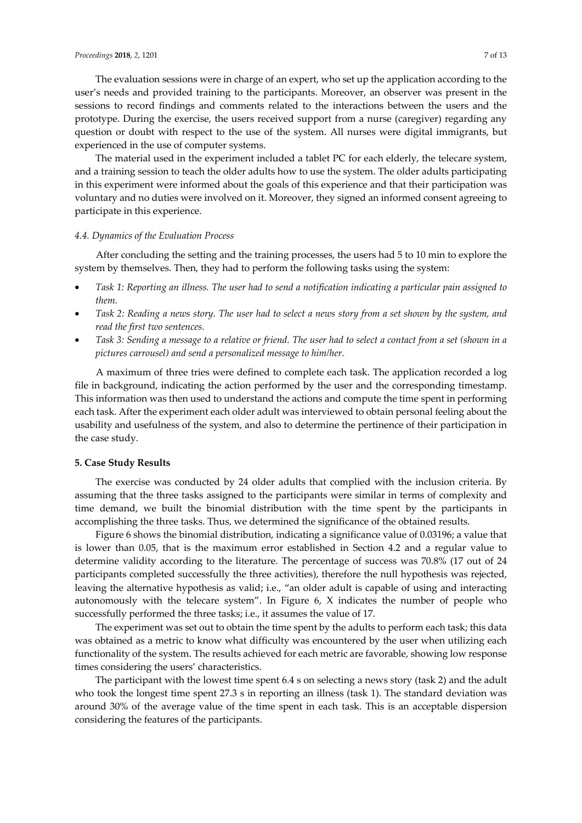The evaluation sessions were in charge of an expert, who set up the application according to the user's needs and provided training to the participants. Moreover, an observer was present in the sessions to record findings and comments related to the interactions between the users and the prototype. During the exercise, the users received support from a nurse (caregiver) regarding any question or doubt with respect to the use of the system. All nurses were digital immigrants, but experienced in the use of computer systems.

The material used in the experiment included a tablet PC for each elderly, the telecare system, and a training session to teach the older adults how to use the system. The older adults participating in this experiment were informed about the goals of this experience and that their participation was voluntary and no duties were involved on it. Moreover, they signed an informed consent agreeing to participate in this experience.

### *4.4. Dynamics of the Evaluation Process*

After concluding the setting and the training processes, the users had 5 to 10 min to explore the system by themselves. Then, they had to perform the following tasks using the system:

- *Task 1: Reporting an illness. The user had to send a notification indicating a particular pain assigned to them.*
- *Task 2: Reading a news story. The user had to select a news story from a set shown by the system, and read the first two sentences.*
- *Task 3: Sending a message to a relative or friend. The user had to select a contact from a set (shown in a pictures carrousel) and send a personalized message to him/her.*

A maximum of three tries were defined to complete each task. The application recorded a log file in background, indicating the action performed by the user and the corresponding timestamp. This information was then used to understand the actions and compute the time spent in performing each task. After the experiment each older adult was interviewed to obtain personal feeling about the usability and usefulness of the system, and also to determine the pertinence of their participation in the case study.

#### **5. Case Study Results**

The exercise was conducted by 24 older adults that complied with the inclusion criteria. By assuming that the three tasks assigned to the participants were similar in terms of complexity and time demand, we built the binomial distribution with the time spent by the participants in accomplishing the three tasks. Thus, we determined the significance of the obtained results.

Figure 6 shows the binomial distribution, indicating a significance value of 0.03196; a value that is lower than 0.05, that is the maximum error established in Section 4.2 and a regular value to determine validity according to the literature. The percentage of success was 70.8% (17 out of 24 participants completed successfully the three activities), therefore the null hypothesis was rejected, leaving the alternative hypothesis as valid; i.e., "an older adult is capable of using and interacting autonomously with the telecare system". In Figure 6, X indicates the number of people who successfully performed the three tasks; i.e., it assumes the value of 17.

The experiment was set out to obtain the time spent by the adults to perform each task; this data was obtained as a metric to know what difficulty was encountered by the user when utilizing each functionality of the system. The results achieved for each metric are favorable, showing low response times considering the users' characteristics.

The participant with the lowest time spent 6.4 s on selecting a news story (task 2) and the adult who took the longest time spent 27.3 s in reporting an illness (task 1). The standard deviation was around 30% of the average value of the time spent in each task. This is an acceptable dispersion considering the features of the participants.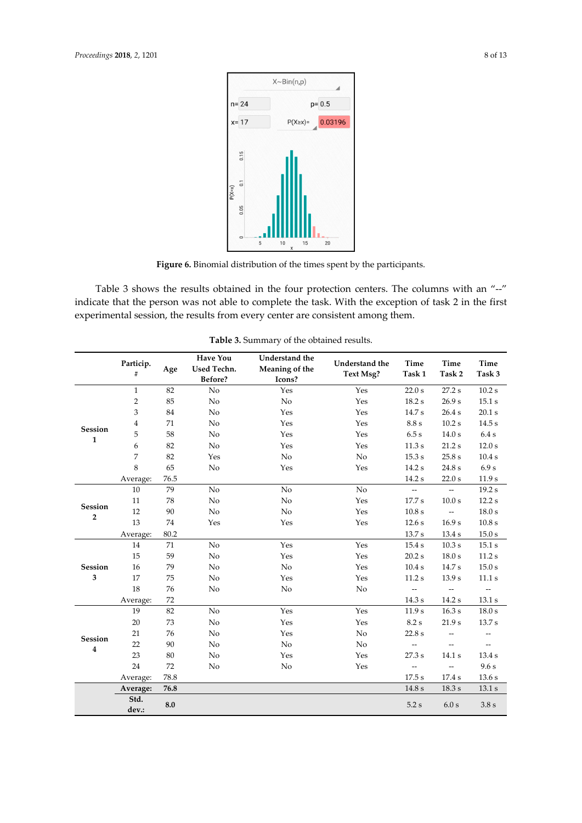

**Figure 6.** Binomial distribution of the times spent by the participants.

Table 3 shows the results obtained in the four protection centers. The columns with an "--" indicate that the person was not able to complete the task. With the exception of task 2 in the first experimental session, the results from every center are consistent among them.

|                           | Particip.<br># | Age    | <b>Have You</b><br>Used Techn.<br>Before? | Understand the<br>Meaning of the<br>Icons? | Understand the<br>Text Msg? | Time<br>Task 1           | Time<br>Task 2           | Time<br>Task 3           |
|---------------------------|----------------|--------|-------------------------------------------|--------------------------------------------|-----------------------------|--------------------------|--------------------------|--------------------------|
|                           | $\mathbf{1}$   | 82     | No                                        | Yes                                        | Yes                         | 22.0 s                   | 27.2 s                   | 10.2 s                   |
|                           | $\overline{2}$ | 85     | No                                        | No                                         | Yes                         | 18.2 s                   | 26.9 s                   | $15.1\;{\rm s}$          |
|                           | 3              | 84     | No                                        | Yes                                        | Yes                         | 14.7 s                   | 26.4 s                   | 20.1 s                   |
| Session<br>$\mathbf{1}$   | $\overline{4}$ | 71     | No                                        | Yes                                        | Yes                         | 8.8 s                    | 10.2 s                   | 14.5 s                   |
|                           | 5              | 58     | No                                        | Yes                                        | Yes                         | 6.5 s                    | 14.0 s                   | 6.4s                     |
|                           | 6              | 82     | No                                        | Yes                                        | Yes                         | 11.3 s                   | 21.2 s                   | 12.0 s                   |
|                           | 7              | 82     | Yes                                       | No                                         | No                          | 15.3 s                   | 25.8 s                   | 10.4 s                   |
|                           | 8              | 65     | No                                        | Yes                                        | Yes                         | 14.2 s                   | 24.8 s                   | 6.9 s                    |
|                           | Average:       | 76.5   |                                           |                                            |                             | 14.2 s                   | 22.0 s                   | 11.9 s                   |
|                           | 10             | 79     | No                                        | No                                         | $\rm No$                    | $\overline{\phantom{a}}$ | $\overline{\phantom{m}}$ | 19.2 s                   |
| Session<br>$\overline{2}$ | 11             | 78     | No                                        | No                                         | Yes                         | 17.7 s                   | 10.0 s                   | 12.2 s                   |
|                           | 12             | 90     | No                                        | No                                         | Yes                         | 10.8 s                   | $\overline{\phantom{a}}$ | 18.0 s                   |
|                           | 13             | 74     | Yes                                       | Yes                                        | Yes                         | 12.6 s                   | 16.9 s                   | 10.8 s                   |
|                           | Average:       | 80.2   |                                           |                                            |                             | 13.7 s                   | 13.4s                    | 15.0 s                   |
|                           | 14             | 71     | No                                        | Yes                                        | Yes                         | 15.4 s                   | 10.3 s                   | 15.1 s                   |
|                           | 15             | 59     | No                                        | Yes                                        | Yes                         | 20.2 s                   | 18.0 s                   | 11.2 s                   |
| Session                   | 16             | 79     | No                                        | No                                         | Yes                         | 10.4 s                   | 14.7 s                   | 15.0 s                   |
| 3                         | 17             | 75     | No                                        | Yes                                        | Yes                         | 11.2s                    | 13.9 s                   | 11.1 s                   |
|                           | 18             | 76     | No                                        | No                                         | No                          | $\overline{\phantom{a}}$ | $\overline{\phantom{a}}$ | $\overline{\phantom{a}}$ |
|                           | Average:       | 72     |                                           |                                            |                             | 14.3 s                   | 14.2 s                   | 13.1 s                   |
|                           | 19             | 82     | No                                        | Yes                                        | Yes                         | 11.9 s                   | 16.3 s                   | 18.0 s                   |
| Session<br>4              | 20             | 73     | No                                        | Yes                                        | Yes                         | 8.2 s                    | 21.9 s                   | 13.7 s                   |
|                           | 21             | 76     | No                                        | Yes                                        | No                          | 22.8 s                   |                          | $-\!$ –                  |
|                           | 22             | 90     | No                                        | No                                         | No                          |                          |                          | $\overline{\phantom{m}}$ |
|                           | 23             | $80\,$ | No                                        | Yes                                        | Yes                         | 27.3 s                   | 14.1 s                   | 13.4s                    |
|                           | 24             | 72     | No                                        | No                                         | Yes                         | --                       | $\overline{\phantom{a}}$ | 9.6 s                    |
|                           | Average:       | 78.8   |                                           |                                            |                             | 17.5 s                   | 17.4 s                   | 13.6 s                   |
|                           | Average:       | 76.8   |                                           |                                            |                             | 14.8 s                   | 18.3 s                   | 13.1 s                   |
|                           | Std.<br>dev.:  | 8.0    |                                           |                                            |                             | 5.2 s                    | 6.0 s                    | 3.8 s                    |

**Table 3.** Summary of the obtained results.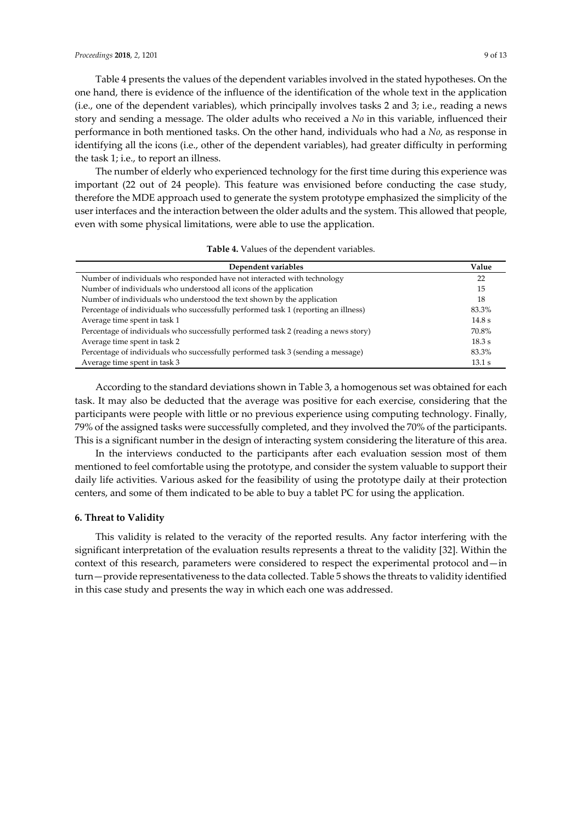Table 4 presents the values of the dependent variables involved in the stated hypotheses. On the one hand, there is evidence of the influence of the identification of the whole text in the application (i.e., one of the dependent variables), which principally involves tasks 2 and 3; i.e., reading a news story and sending a message. The older adults who received a *No* in this variable, influenced their performance in both mentioned tasks. On the other hand, individuals who had a *No*, as response in identifying all the icons (i.e., other of the dependent variables), had greater difficulty in performing the task 1; i.e., to report an illness.

The number of elderly who experienced technology for the first time during this experience was important (22 out of 24 people). This feature was envisioned before conducting the case study, therefore the MDE approach used to generate the system prototype emphasized the simplicity of the user interfaces and the interaction between the older adults and the system. This allowed that people, even with some physical limitations, were able to use the application.

| Table 4. Values of the dependent variables. |  |  |  |
|---------------------------------------------|--|--|--|
|---------------------------------------------|--|--|--|

| Dependent variables                                                                | Value  |
|------------------------------------------------------------------------------------|--------|
| Number of individuals who responded have not interacted with technology            | 22     |
| Number of individuals who understood all icons of the application                  | 15     |
| Number of individuals who understood the text shown by the application             | 18     |
| Percentage of individuals who successfully performed task 1 (reporting an illness) | 83.3%  |
| Average time spent in task 1                                                       | 14.8 s |
| Percentage of individuals who successfully performed task 2 (reading a news story) | 70.8%  |
| Average time spent in task 2                                                       | 18.3 s |
| Percentage of individuals who successfully performed task 3 (sending a message)    | 83.3%  |
| Average time spent in task 3                                                       | 13.1 s |

According to the standard deviations shown in Table 3, a homogenous set was obtained for each task. It may also be deducted that the average was positive for each exercise, considering that the participants were people with little or no previous experience using computing technology. Finally, 79% of the assigned tasks were successfully completed, and they involved the 70% of the participants. This is a significant number in the design of interacting system considering the literature of this area.

In the interviews conducted to the participants after each evaluation session most of them mentioned to feel comfortable using the prototype, and consider the system valuable to support their daily life activities. Various asked for the feasibility of using the prototype daily at their protection centers, and some of them indicated to be able to buy a tablet PC for using the application.

## **6. Threat to Validity**

This validity is related to the veracity of the reported results. Any factor interfering with the significant interpretation of the evaluation results represents a threat to the validity [32]. Within the context of this research, parameters were considered to respect the experimental protocol and—in turn—provide representativeness to the data collected. Table 5 shows the threats to validity identified in this case study and presents the way in which each one was addressed.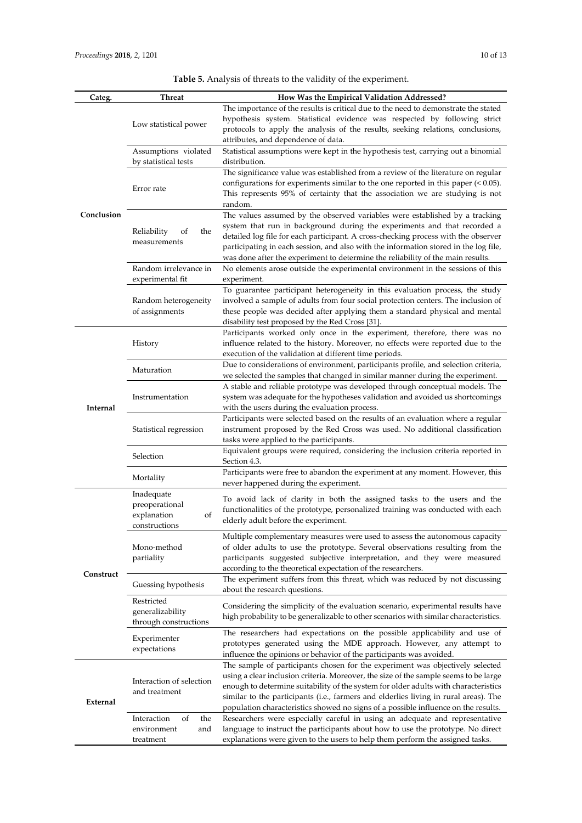| Categ.     | Threat                                                             | How Was the Empirical Validation Addressed?                                                                                                                                                                                                                                                                                                                                                                                                |
|------------|--------------------------------------------------------------------|--------------------------------------------------------------------------------------------------------------------------------------------------------------------------------------------------------------------------------------------------------------------------------------------------------------------------------------------------------------------------------------------------------------------------------------------|
|            |                                                                    | The importance of the results is critical due to the need to demonstrate the stated                                                                                                                                                                                                                                                                                                                                                        |
|            | Low statistical power                                              | hypothesis system. Statistical evidence was respected by following strict<br>protocols to apply the analysis of the results, seeking relations, conclusions,<br>attributes, and dependence of data.                                                                                                                                                                                                                                        |
|            | Assumptions violated<br>by statistical tests                       | Statistical assumptions were kept in the hypothesis test, carrying out a binomial<br>distribution.                                                                                                                                                                                                                                                                                                                                         |
| Conclusion | Error rate                                                         | The significance value was established from a review of the literature on regular<br>configurations for experiments similar to the one reported in this paper $(0.05)$ .<br>This represents 95% of certainty that the association we are studying is not<br>random.                                                                                                                                                                        |
|            | Reliability<br>the<br>οf<br>measurements                           | The values assumed by the observed variables were established by a tracking<br>system that run in background during the experiments and that recorded a<br>detailed log file for each participant. A cross-checking process with the observer<br>participating in each session, and also with the information stored in the log file,<br>was done after the experiment to determine the reliability of the main results.                   |
|            | Random irrelevance in<br>experimental fit                          | No elements arose outside the experimental environment in the sessions of this<br>experiment.                                                                                                                                                                                                                                                                                                                                              |
|            | Random heterogeneity<br>of assignments                             | To guarantee participant heterogeneity in this evaluation process, the study<br>involved a sample of adults from four social protection centers. The inclusion of<br>these people was decided after applying them a standard physical and mental<br>disability test proposed by the Red Cross [31].                                                                                                                                        |
| Internal   | History                                                            | Participants worked only once in the experiment, therefore, there was no<br>influence related to the history. Moreover, no effects were reported due to the<br>execution of the validation at different time periods.                                                                                                                                                                                                                      |
|            | Maturation                                                         | Due to considerations of environment, participants profile, and selection criteria,<br>we selected the samples that changed in similar manner during the experiment.                                                                                                                                                                                                                                                                       |
|            | Instrumentation                                                    | A stable and reliable prototype was developed through conceptual models. The<br>system was adequate for the hypotheses validation and avoided us shortcomings<br>with the users during the evaluation process.                                                                                                                                                                                                                             |
|            | Statistical regression                                             | Participants were selected based on the results of an evaluation where a regular<br>instrument proposed by the Red Cross was used. No additional classification<br>tasks were applied to the participants.                                                                                                                                                                                                                                 |
|            | Selection                                                          | Equivalent groups were required, considering the inclusion criteria reported in<br>Section 4.3.                                                                                                                                                                                                                                                                                                                                            |
|            | Mortality                                                          | Participants were free to abandon the experiment at any moment. However, this<br>never happened during the experiment.                                                                                                                                                                                                                                                                                                                     |
|            | Inadequate<br>preoperational<br>explanation<br>οf<br>constructions | To avoid lack of clarity in both the assigned tasks to the users and the<br>functionalities of the prototype, personalized training was conducted with each<br>elderly adult before the experiment.                                                                                                                                                                                                                                        |
|            | Mono-method<br>partiality                                          | Multiple complementary measures were used to assess the autonomous capacity<br>of older adults to use the prototype. Several observations resulting from the<br>participants suggested subjective interpretation, and they were measured<br>according to the theoretical expectation of the researchers.                                                                                                                                   |
| Construct  | Guessing hypothesis                                                | The experiment suffers from this threat, which was reduced by not discussing<br>about the research questions.                                                                                                                                                                                                                                                                                                                              |
|            | Restricted<br>generalizability<br>through constructions            | Considering the simplicity of the evaluation scenario, experimental results have<br>high probability to be generalizable to other scenarios with similar characteristics.                                                                                                                                                                                                                                                                  |
|            | Experimenter<br>expectations                                       | The researchers had expectations on the possible applicability and use of<br>prototypes generated using the MDE approach. However, any attempt to<br>influence the opinions or behavior of the participants was avoided.                                                                                                                                                                                                                   |
| External   | Interaction of selection<br>and treatment                          | The sample of participants chosen for the experiment was objectively selected<br>using a clear inclusion criteria. Moreover, the size of the sample seems to be large<br>enough to determine suitability of the system for older adults with characteristics<br>similar to the participants (i.e., farmers and elderlies living in rural areas). The<br>population characteristics showed no signs of a possible influence on the results. |
|            | Interaction<br>the<br>of<br>environment<br>and<br>treatment        | Researchers were especially careful in using an adequate and representative<br>language to instruct the participants about how to use the prototype. No direct<br>explanations were given to the users to help them perform the assigned tasks.                                                                                                                                                                                            |

**Table 5.** Analysis of threats to the validity of the experiment.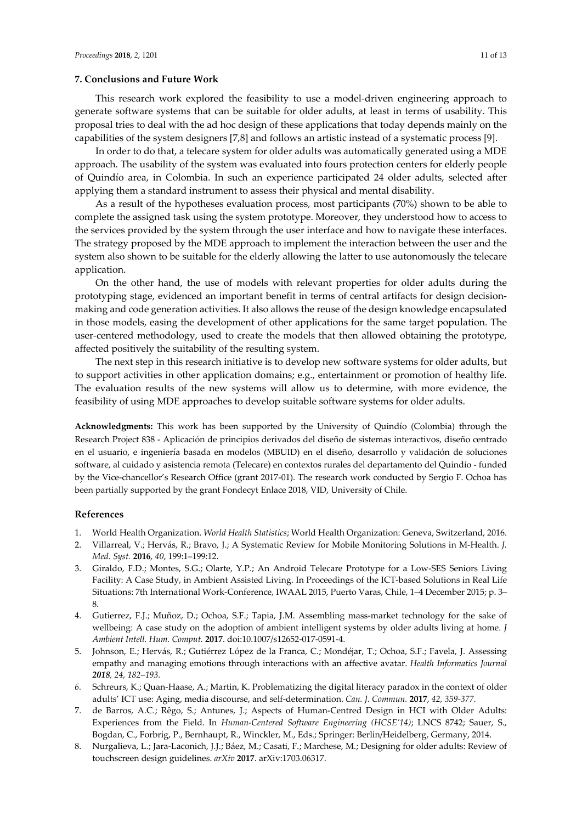## **7. Conclusions and Future Work**

This research work explored the feasibility to use a model-driven engineering approach to generate software systems that can be suitable for older adults, at least in terms of usability. This proposal tries to deal with the ad hoc design of these applications that today depends mainly on the capabilities of the system designers [7,8] and follows an artistic instead of a systematic process [9].

In order to do that, a telecare system for older adults was automatically generated using a MDE approach. The usability of the system was evaluated into fours protection centers for elderly people of Quindío area, in Colombia. In such an experience participated 24 older adults, selected after applying them a standard instrument to assess their physical and mental disability.

As a result of the hypotheses evaluation process, most participants (70%) shown to be able to complete the assigned task using the system prototype. Moreover, they understood how to access to the services provided by the system through the user interface and how to navigate these interfaces. The strategy proposed by the MDE approach to implement the interaction between the user and the system also shown to be suitable for the elderly allowing the latter to use autonomously the telecare application.

On the other hand, the use of models with relevant properties for older adults during the prototyping stage, evidenced an important benefit in terms of central artifacts for design decisionmaking and code generation activities. It also allows the reuse of the design knowledge encapsulated in those models, easing the development of other applications for the same target population. The user-centered methodology, used to create the models that then allowed obtaining the prototype, affected positively the suitability of the resulting system.

The next step in this research initiative is to develop new software systems for older adults, but to support activities in other application domains; e.g., entertainment or promotion of healthy life. The evaluation results of the new systems will allow us to determine, with more evidence, the feasibility of using MDE approaches to develop suitable software systems for older adults.

**Acknowledgments:** This work has been supported by the University of Quindío (Colombia) through the Research Project 838 - Aplicación de principios derivados del diseño de sistemas interactivos, diseño centrado en el usuario, e ingeniería basada en modelos (MBUID) en el diseño, desarrollo y validación de soluciones software, al cuidado y asistencia remota (Telecare) en contextos rurales del departamento del Quindío - funded by the Vice-chancellor's Research Office (grant 2017-01). The research work conducted by Sergio F. Ochoa has been partially supported by the grant Fondecyt Enlace 2018, VID, University of Chile.

## **References**

- 1. World Health Organization. *World Health Statistics*; World Health Organization: Geneva, Switzerland, 2016.
- 2. Villarreal, V.; Hervás, R.; Bravo, J.; A Systematic Review for Mobile Monitoring Solutions in M-Health. *J. Med. Syst.* **2016**, *40*, 199:1–199:12.
- 3. Giraldo, F.D.; Montes, S.G.; Olarte, Y.P.; An Android Telecare Prototype for a Low-SES Seniors Living Facility: A Case Study, in Ambient Assisted Living. In Proceedings of the ICT-based Solutions in Real Life Situations: 7th International Work-Conference, IWAAL 2015, Puerto Varas, Chile, 1–4 December 2015; p. 3– 8.
- 4. Gutierrez, F.J.; Muñoz, D.; Ochoa, S.F.; Tapia, J.M. Assembling mass-market technology for the sake of wellbeing: A case study on the adoption of ambient intelligent systems by older adults living at home. *J Ambient Intell. Hum. Comput.* **2017**. doi:10.1007/s12652-017-0591-4.
- 5. Johnson, E.; Hervás, R.; Gutiérrez López de la Franca, C.; Mondéjar, T.; Ochoa, S.F.; Favela, J. Assessing empathy and managing emotions through interactions with an affective avatar. *Health Informatics Journal 2018, 24, 182–193.*
- *6.* Schreurs, K.; Quan-Haase, A.; Martin, K. Problematizing the digital literacy paradox in the context of older adults' ICT use: Aging, media discourse, and self-determination. *Can. J. Commun.* **2017**, *42, 359-377.*
- 7. de Barros, A.C.; Rêgo, S.; Antunes, J.; Aspects of Human-Centred Design in HCI with Older Adults: Experiences from the Field. In *Human-Centered Software Engineering (HCSE'14)*; LNCS 8742; Sauer, S., Bogdan, C., Forbrig, P., Bernhaupt, R., Winckler, M., Eds.; Springer: Berlin/Heidelberg, Germany, 2014.
- 8. Nurgalieva, L.; Jara-Laconich, J.J.; Báez, M.; Casati, F.; Marchese, M.; Designing for older adults: Review of touchscreen design guidelines. *arXiv* **2017**. arXiv:1703.06317.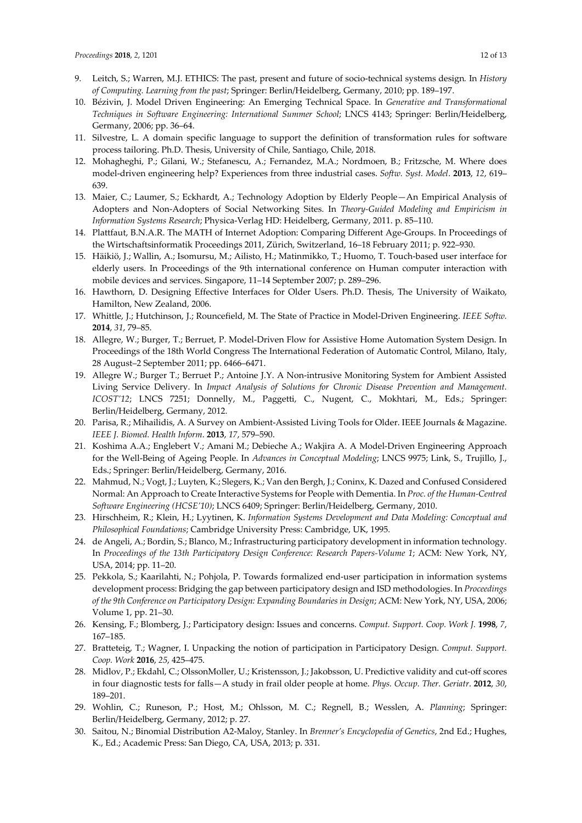- 9. Leitch, S.; Warren, M.J. ETHICS: The past, present and future of socio-technical systems design*.* In *History of Computing. Learning from the past*; Springer: Berlin/Heidelberg, Germany, 2010; pp. 189–197.
- 10. Bézivin, J. Model Driven Engineering: An Emerging Technical Space. In *Generative and Transformational Techniques in Software Engineering: International Summer School*; LNCS 4143; Springer: Berlin/Heidelberg, Germany, 2006; pp. 36–64.
- 11. Silvestre, L. A domain specific language to support the definition of transformation rules for software process tailoring. Ph.D. Thesis, University of Chile, Santiago, Chile, 2018.
- 12. Mohagheghi, P.; Gilani, W.; Stefanescu, A.; Fernandez, M.A.; Nordmoen, B.; Fritzsche, M. Where does model-driven engineering help? Experiences from three industrial cases. *Softw. Syst. Model*. **2013**, *12*, 619– 639.
- 13. Maier, C.; Laumer, S.; Eckhardt, A.; Technology Adoption by Elderly People—An Empirical Analysis of Adopters and Non-Adopters of Social Networking Sites. In *Theory-Guided Modeling and Empiricism in Information Systems Research*; Physica-Verlag HD: Heidelberg, Germany, 2011. p. 85–110.
- 14. Plattfaut, B.N.A.R. The MATH of Internet Adoption: Comparing Different Age-Groups. In Proceedings of the Wirtschaftsinformatik Proceedings 2011, Zürich, Switzerland, 16–18 February 2011; p. 922–930.
- 15. Häikiö, J.; Wallin, A.; Isomursu, M.; Ailisto, H.; Matinmikko, T.; Huomo, T. Touch-based user interface for elderly users. In Proceedings of the 9th international conference on Human computer interaction with mobile devices and services. Singapore, 11–14 September 2007; p. 289–296.
- 16. Hawthorn, D. Designing Effective Interfaces for Older Users. Ph.D. Thesis, The University of Waikato, Hamilton, New Zealand, 2006.
- 17. Whittle, J.; Hutchinson, J.; Rouncefield, M. The State of Practice in Model-Driven Engineering. *IEEE Softw.*  **2014**, *31*, 79–85.
- 18. Allegre, W.; Burger, T.; Berruet, P. Model-Driven Flow for Assistive Home Automation System Design. In Proceedings of the 18th World Congress The International Federation of Automatic Control, Milano, Italy, 28 August–2 September 2011; pp. 6466–6471.
- 19. Allegre W.; Burger T.; Berruet P.; Antoine J.Y. A Non-intrusive Monitoring System for Ambient Assisted Living Service Delivery. In *Impact Analysis of Solutions for Chronic Disease Prevention and Management. ICOST'12*; LNCS 7251; Donnelly, M., Paggetti, C., Nugent, C., Mokhtari, M., Eds.; Springer: Berlin/Heidelberg, Germany, 2012.
- 20. Parisa, R.; Mihailidis, A. A Survey on Ambient-Assisted Living Tools for Older. IEEE Journals & Magazine. *IEEE J. Biomed. Health Inform*. **2013**, *17*, 579–590.
- 21. Koshima A.A.; Englebert V.; Amani M.; Debieche A.; Wakjira A. A Model-Driven Engineering Approach for the Well-Being of Ageing People. In *Advances in Conceptual Modeling*; LNCS 9975; Link, S., Trujillo, J., Eds.; Springer: Berlin/Heidelberg, Germany, 2016.
- 22. Mahmud, N.; Vogt, J.; Luyten, K.; Slegers, K.; Van den Bergh, J.; Coninx, K. Dazed and Confused Considered Normal: An Approach to Create Interactive Systems for People with Dementia. In *Proc. of the Human-Centred Software Engineering (HCSE'10)*; LNCS 6409; Springer: Berlin/Heidelberg, Germany, 2010.
- 23. Hirschheim, R.; Klein, H.; Lyytinen, K. *Information Systems Development and Data Modeling: Conceptual and Philosophical Foundations*; Cambridge University Press: Cambridge, UK, 1995.
- 24. de Angeli, A.; Bordin, S.; Blanco, M.; Infrastructuring participatory development in information technology. In *Proceedings of the 13th Participatory Design Conference: Research Papers-Volume 1*; ACM: New York, NY, USA, 2014; pp. 11–20.
- 25. Pekkola, S.; Kaarilahti, N.; Pohjola, P. Towards formalized end-user participation in information systems development process: Bridging the gap between participatory design and ISD methodologies. In *Proceedings of the 9th Conference on Participatory Design: Expanding Boundaries in Design*; ACM: New York, NY, USA, 2006; Volume 1, pp. 21–30.
- 26. Kensing, F.; Blomberg, J.; Participatory design: Issues and concerns. *Comput. Support. Coop. Work J.* **1998**, *7*, 167–185.
- 27. Bratteteig, T.; Wagner, I. Unpacking the notion of participation in Participatory Design. *Comput. Support. Coop. Work* **2016**, *25*, 425–475.
- 28. Midlov, P.; Ekdahl, C.; OlssonMoller, U.; Kristensson, J.; Jakobsson, U. Predictive validity and cut-off scores in four diagnostic tests for falls—A study in frail older people at home. *Phys. Occup. Ther. Geriatr*. **2012**, *30*, 189–201.
- 29. Wohlin, C.; Runeson, P.; Host, M.; Ohlsson, M. C.; Regnell, B.; Wesslen, A. *Planning*; Springer: Berlin/Heidelberg, Germany, 2012; p. 27.
- 30. Saitou, N.; Binomial Distribution A2-Maloy, Stanley. In *Brenner's Encyclopedia of Genetics*, 2nd Ed.; Hughes, K., Ed.; Academic Press: San Diego, CA, USA, 2013; p. 331.